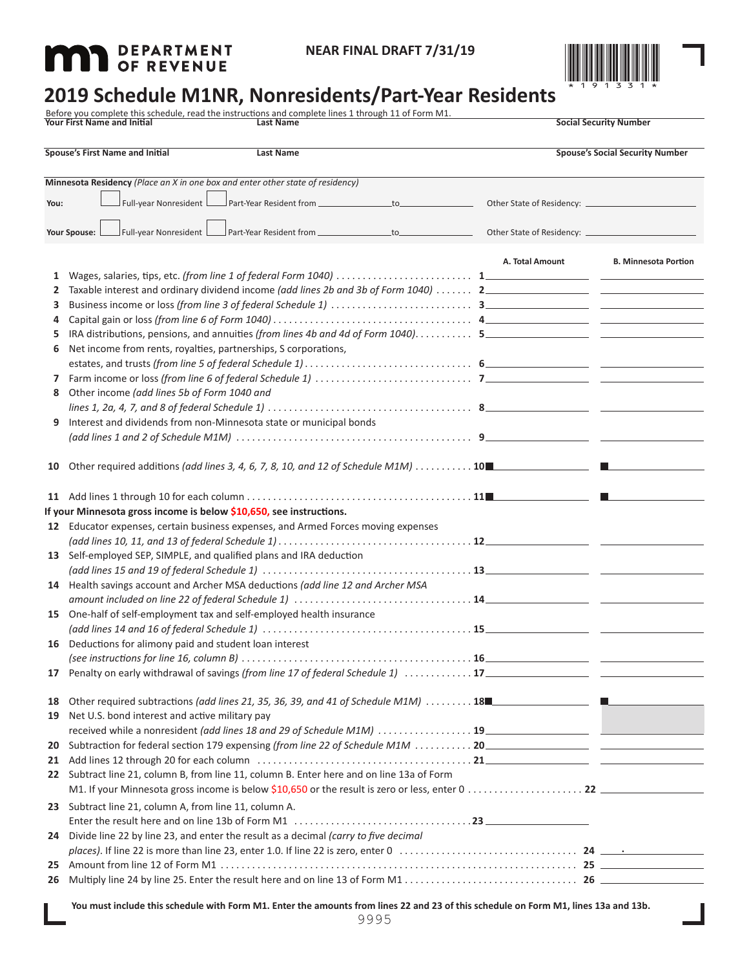# **MAD** DEPARTMENT



## **2019 Schedule M1NR, Nonresidents/Part-Year Residents**

Before you complete this schedule, read the instructions and complete lines 1 through 11 of Form M1.<br>**Your First Name 30 and Initial Security Number Last Name** 

|              | <b>Spouse's First Name and Initial</b>                                                                               | Last Name |  | <b>Spouse's Social Security Number</b> |                                                                                                                                                                                                                                      |
|--------------|----------------------------------------------------------------------------------------------------------------------|-----------|--|----------------------------------------|--------------------------------------------------------------------------------------------------------------------------------------------------------------------------------------------------------------------------------------|
|              | Minnesota Residency (Place an X in one box and enter other state of residency)                                       |           |  |                                        |                                                                                                                                                                                                                                      |
| You:         | Full-year Nonresident   Part-Year Resident from __________________to_____________                                    |           |  |                                        |                                                                                                                                                                                                                                      |
|              | Your Spouse: L                                                                                                       |           |  |                                        |                                                                                                                                                                                                                                      |
|              |                                                                                                                      |           |  | A. Total Amount                        | <b>B. Minnesota Portion</b>                                                                                                                                                                                                          |
| $\mathbf{1}$ |                                                                                                                      |           |  |                                        |                                                                                                                                                                                                                                      |
| 2            |                                                                                                                      |           |  |                                        |                                                                                                                                                                                                                                      |
| 3            |                                                                                                                      |           |  |                                        |                                                                                                                                                                                                                                      |
| 4            |                                                                                                                      |           |  |                                        |                                                                                                                                                                                                                                      |
| 5.           |                                                                                                                      |           |  |                                        |                                                                                                                                                                                                                                      |
| 6            | Net income from rents, royalties, partnerships, S corporations,                                                      |           |  |                                        |                                                                                                                                                                                                                                      |
|              |                                                                                                                      |           |  |                                        |                                                                                                                                                                                                                                      |
|              |                                                                                                                      |           |  |                                        |                                                                                                                                                                                                                                      |
| 8            | Other income (add lines 5b of Form 1040 and                                                                          |           |  |                                        |                                                                                                                                                                                                                                      |
|              | lines 1, 2a, 4, 7, and 8 of federal Schedule 1) $\ldots \ldots \ldots \ldots \ldots \ldots \ldots \ldots \ldots$ 8   |           |  |                                        |                                                                                                                                                                                                                                      |
| 9            | Interest and dividends from non-Minnesota state or municipal bonds                                                   |           |  |                                        |                                                                                                                                                                                                                                      |
|              |                                                                                                                      |           |  |                                        |                                                                                                                                                                                                                                      |
|              |                                                                                                                      |           |  |                                        |                                                                                                                                                                                                                                      |
| 10           | Other required additions (add lines 3, 4, 6, 7, 8, 10, and 12 of Schedule M1M) 10                                    |           |  |                                        | the contract of the contract of the                                                                                                                                                                                                  |
|              |                                                                                                                      |           |  |                                        |                                                                                                                                                                                                                                      |
|              |                                                                                                                      |           |  |                                        | <b>The contract of the contract of the contract of the contract of the contract of the contract of the contract of the contract of the contract of the contract of the contract of the contract of the contract of the contract </b> |
|              | If your Minnesota gross income is below \$10,650, see instructions.                                                  |           |  |                                        |                                                                                                                                                                                                                                      |
| 12           | Educator expenses, certain business expenses, and Armed Forces moving expenses                                       |           |  |                                        |                                                                                                                                                                                                                                      |
|              | $(add lines 10, 11, and 13 of federal Schedule 1) \ldots \ldots \ldots \ldots \ldots \ldots \ldots \ldots \ldots 12$ |           |  |                                        |                                                                                                                                                                                                                                      |
| 13           | Self-employed SEP, SIMPLE, and qualified plans and IRA deduction                                                     |           |  |                                        |                                                                                                                                                                                                                                      |
|              |                                                                                                                      |           |  |                                        |                                                                                                                                                                                                                                      |
| 14           | Health savings account and Archer MSA deductions (add line 12 and Archer MSA                                         |           |  |                                        |                                                                                                                                                                                                                                      |
|              |                                                                                                                      |           |  |                                        |                                                                                                                                                                                                                                      |
| 15           | One-half of self-employment tax and self-employed health insurance                                                   |           |  |                                        |                                                                                                                                                                                                                                      |
| 16           | Deductions for alimony paid and student loan interest                                                                |           |  |                                        |                                                                                                                                                                                                                                      |
|              |                                                                                                                      |           |  |                                        |                                                                                                                                                                                                                                      |
| 17           |                                                                                                                      |           |  |                                        |                                                                                                                                                                                                                                      |
|              |                                                                                                                      |           |  |                                        |                                                                                                                                                                                                                                      |
| 18           | Other required subtractions (add lines 21, 35, 36, 39, and 41 of Schedule M1M) 18                                    |           |  |                                        |                                                                                                                                                                                                                                      |
|              | 19 Net U.S. bond interest and active military pay                                                                    |           |  |                                        |                                                                                                                                                                                                                                      |
|              |                                                                                                                      |           |  |                                        |                                                                                                                                                                                                                                      |
| 20           |                                                                                                                      |           |  |                                        |                                                                                                                                                                                                                                      |
|              |                                                                                                                      |           |  |                                        |                                                                                                                                                                                                                                      |
|              | 22 Subtract line 21, column B, from line 11, column B. Enter here and on line 13a of Form                            |           |  |                                        |                                                                                                                                                                                                                                      |
|              |                                                                                                                      |           |  |                                        |                                                                                                                                                                                                                                      |
|              | 23 Subtract line 21, column A, from line 11, column A.                                                               |           |  |                                        |                                                                                                                                                                                                                                      |
|              |                                                                                                                      |           |  |                                        |                                                                                                                                                                                                                                      |
|              | 24 Divide line 22 by line 23, and enter the result as a decimal (carry to five decimal                               |           |  |                                        |                                                                                                                                                                                                                                      |
|              |                                                                                                                      |           |  |                                        |                                                                                                                                                                                                                                      |
| 25 -         |                                                                                                                      |           |  |                                        |                                                                                                                                                                                                                                      |
|              |                                                                                                                      |           |  |                                        |                                                                                                                                                                                                                                      |
|              |                                                                                                                      |           |  |                                        |                                                                                                                                                                                                                                      |

**You must include this schedule with Form M1. Enter the amounts from lines 22 and 23 of this schedule on Form M1, lines 13a and 13b.**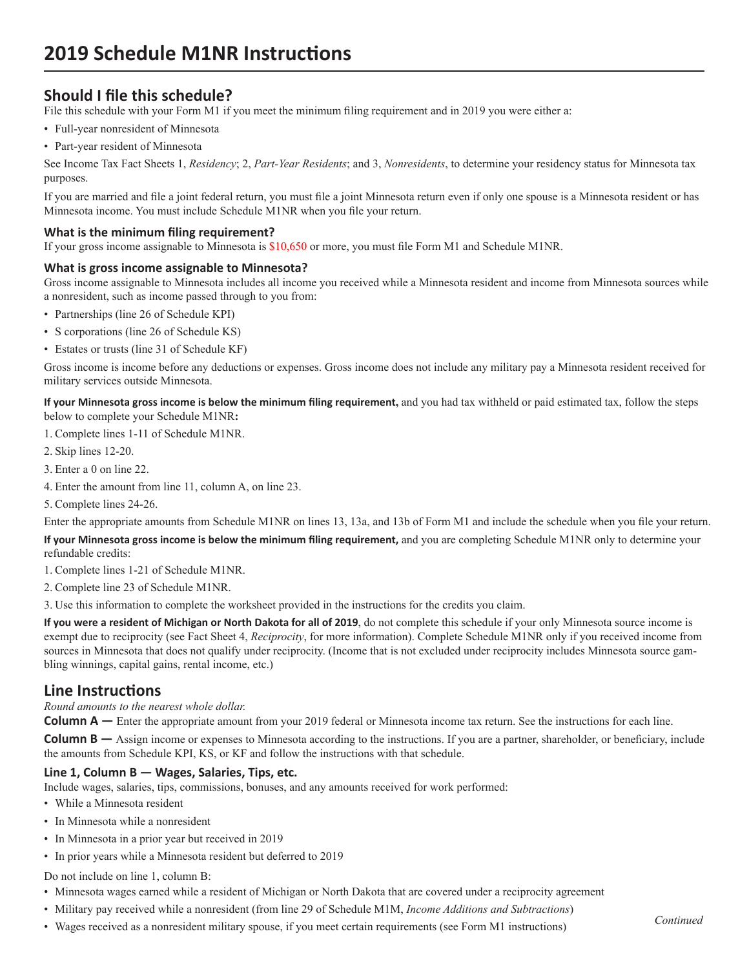## **Should I file this schedule?**

File this schedule with your Form M1 if you meet the minimum filing requirement and in 2019 you were either a:

- Full-year nonresident of Minnesota
- Part-year resident of Minnesota

See Income Tax Fact Sheets 1, *Residency*; 2, *Part-Year Residents*; and 3, *Nonresidents*, to determine your residency status for Minnesota tax purposes.

If you are married and file a joint federal return, you must file a joint Minnesota return even if only one spouse is a Minnesota resident or has Minnesota income. You must include Schedule M1NR when you file your return.

#### **What is the minimum filing requirement?**

If your gross income assignable to Minnesota is \$10,650 or more, you must file Form M1 and Schedule M1NR.

#### **What is gross income assignable to Minnesota?**

Gross income assignable to Minnesota includes all income you received while a Minnesota resident and income from Minnesota sources while a nonresident, such as income passed through to you from:

- Partnerships (line 26 of Schedule KPI)
- S corporations (line 26 of Schedule KS)
- Estates or trusts (line 31 of Schedule KF)

Gross income is income before any deductions or expenses. Gross income does not include any military pay a Minnesota resident received for military services outside Minnesota.

**If your Minnesota gross income is below the minimum filing requirement,** and you had tax withheld or paid estimated tax, follow the steps below to complete your Schedule M1NR**:**

1. Complete lines 1-11 of Schedule M1NR.

- 2. Skip lines 12-20.
- 3. Enter a 0 on line 22.
- 4. Enter the amount from line 11, column A, on line 23.

5. Complete lines 24-26.

Enter the appropriate amounts from Schedule M1NR on lines 13, 13a, and 13b of Form M1 and include the schedule when you file your return.

**If your Minnesota gross income is below the minimum filing requirement,** and you are completing Schedule M1NR only to determine your refundable credits:

1. Complete lines 1-21 of Schedule M1NR.

2. Complete line 23 of Schedule M1NR.

3. Use this information to complete the worksheet provided in the instructions for the credits you claim.

**If you were a resident of Michigan or North Dakota for all of 2019**, do not complete this schedule if your only Minnesota source income is exempt due to reciprocity (see Fact Sheet 4, *Reciprocity*, for more information). Complete Schedule M1NR only if you received income from sources in Minnesota that does not qualify under reciprocity. (Income that is not excluded under reciprocity includes Minnesota source gambling winnings, capital gains, rental income, etc.)

### **Line Instructions**

*Round amounts to the nearest whole dollar.*

**Column A** — Enter the appropriate amount from your 2019 federal or Minnesota income tax return. See the instructions for each line.

**Column B** — Assign income or expenses to Minnesota according to the instructions. If you are a partner, shareholder, or beneficiary, include the amounts from Schedule KPI, KS, or KF and follow the instructions with that schedule.

#### **Line 1, Column B — Wages, Salaries, Tips, etc.**

Include wages, salaries, tips, commissions, bonuses, and any amounts received for work performed:

- While a Minnesota resident
- In Minnesota while a nonresident
- In Minnesota in a prior year but received in 2019
- In prior years while a Minnesota resident but deferred to 2019

Do not include on line 1, column B:

- Minnesota wages earned while a resident of Michigan or North Dakota that are covered under a reciprocity agreement
- Military pay received while a nonresident (from line 29 of Schedule M1M, *Income Additions and Subtractions*)
- Wages received as a nonresident military spouse, if you meet certain requirements (see Form M1 instructions)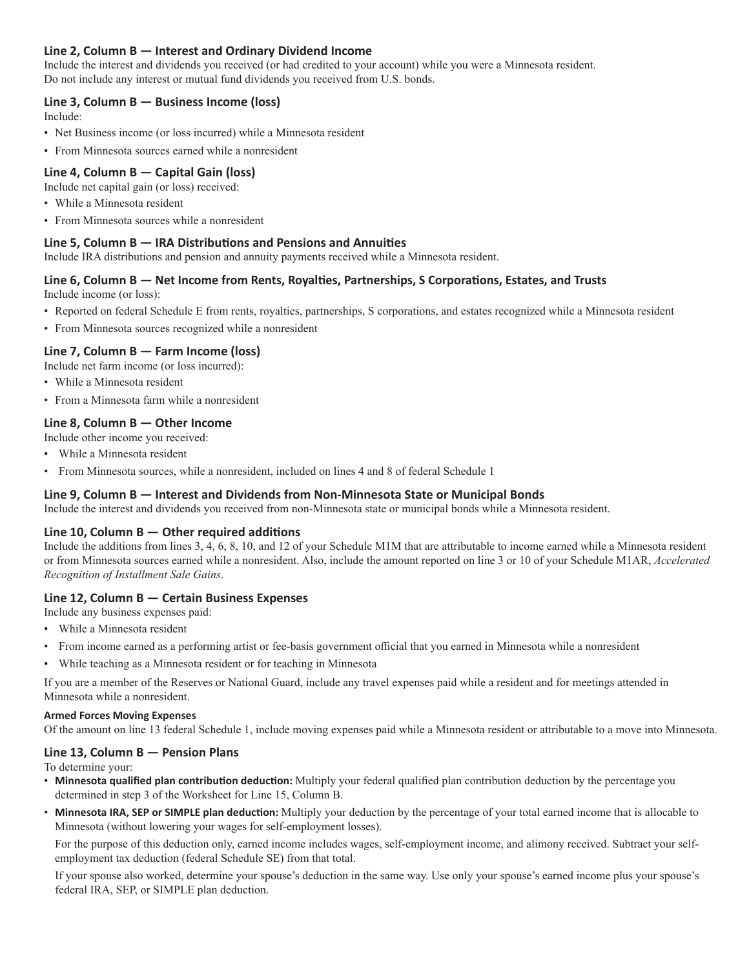#### **Line 2, Column B — Interest and Ordinary Dividend Income**

Include the interest and dividends you received (or had credited to your account) while you were a Minnesota resident. Do not include any interest or mutual fund dividends you received from U.S. bonds.

#### **Line 3, Column B — Business Income (loss)**

Include:

- Net Business income (or loss incurred) while a Minnesota resident
- From Minnesota sources earned while a nonresident

#### **Line 4, Column B — Capital Gain (loss)**

Include net capital gain (or loss) received:

- While a Minnesota resident
- From Minnesota sources while a nonresident

#### **Line 5, Column B — IRA Distributions and Pensions and Annuities**

Include IRA distributions and pension and annuity payments received while a Minnesota resident.

#### **Line 6, Column B — Net Income from Rents, Royalties, Partnerships, S Corporations, Estates, and Trusts**

Include income (or loss):

- Reported on federal Schedule E from rents, royalties, partnerships, S corporations, and estates recognized while a Minnesota resident
- From Minnesota sources recognized while a nonresident

#### **Line 7, Column B — Farm Income (loss)**

Include net farm income (or loss incurred):

- While a Minnesota resident
- From a Minnesota farm while a nonresident

#### **Line 8, Column B — Other Income**

Include other income you received:

- While a Minnesota resident
- From Minnesota sources, while a nonresident, included on lines 4 and 8 of federal Schedule 1

#### **Line 9, Column B — Interest and Dividends from Non-Minnesota State or Municipal Bonds**

Include the interest and dividends you received from non-Minnesota state or municipal bonds while a Minnesota resident.

#### **Line 10, Column B — Other required additions**

Include the additions from lines 3, 4, 6, 8, 10, and 12 of your Schedule M1M that are attributable to income earned while a Minnesota resident or from Minnesota sources earned while a nonresident. Also, include the amount reported on line 3 or 10 of your Schedule M1AR, *Accelerated Recognition of Installment Sale Gains*.

#### **Line 12, Column B — Certain Business Expenses**

Include any business expenses paid:

- While a Minnesota resident
- From income earned as a performing artist or fee-basis government official that you earned in Minnesota while a nonresident
- While teaching as a Minnesota resident or for teaching in Minnesota

If you are a member of the Reserves or National Guard, include any travel expenses paid while a resident and for meetings attended in Minnesota while a nonresident.

#### **Armed Forces Moving Expenses**

Of the amount on line 13 federal Schedule 1, include moving expenses paid while a Minnesota resident or attributable to a move into Minnesota.

#### **Line 13, Column B — Pension Plans**

To determine your:

- **Minnesota qualified plan contribution deduction:** Multiply your federal qualified plan contribution deduction by the percentage you determined in step 3 of the Worksheet for Line 15, Column B.
- **Minnesota IRA, SEP or SIMPLE plan deduction:** Multiply your deduction by the percentage of your total earned income that is allocable to Minnesota (without lowering your wages for self-employment losses).

For the purpose of this deduction only, earned income includes wages, self-employment income, and alimony received. Subtract your selfemployment tax deduction (federal Schedule SE) from that total.

If your spouse also worked, determine your spouse's deduction in the same way. Use only your spouse's earned income plus your spouse's federal IRA, SEP, or SIMPLE plan deduction.